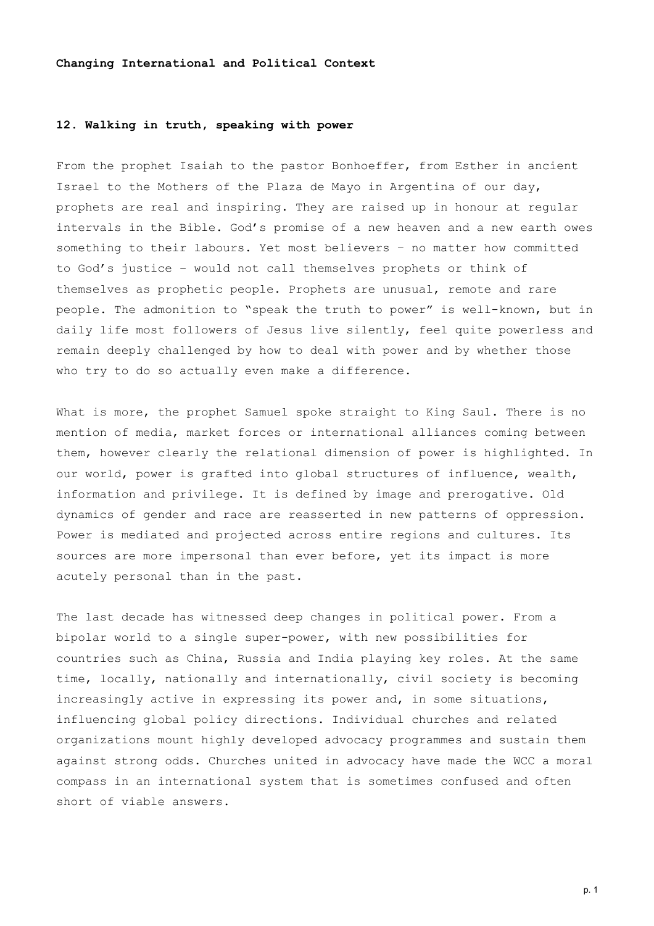#### **Changing International and Political Context**

### **12. Walking in truth, speaking with power**

From the prophet Isaiah to the pastor Bonhoeffer, from Esther in ancient Israel to the Mothers of the Plaza de Mayo in Argentina of our day, prophets are real and inspiring. They are raised up in honour at regular intervals in the Bible. God's promise of a new heaven and a new earth owes something to their labours. Yet most believers – no matter how committed to God's justice – would not call themselves prophets or think of themselves as prophetic people. Prophets are unusual, remote and rare people. The admonition to "speak the truth to power" is well-known, but in daily life most followers of Jesus live silently, feel quite powerless and remain deeply challenged by how to deal with power and by whether those who try to do so actually even make a difference.

What is more, the prophet Samuel spoke straight to King Saul. There is no mention of media, market forces or international alliances coming between them, however clearly the relational dimension of power is highlighted. In our world, power is grafted into global structures of influence, wealth, information and privilege. It is defined by image and prerogative. Old dynamics of gender and race are reasserted in new patterns of oppression. Power is mediated and projected across entire regions and cultures. Its sources are more impersonal than ever before, yet its impact is more acutely personal than in the past.

The last decade has witnessed deep changes in political power. From a bipolar world to a single super-power, with new possibilities for countries such as China, Russia and India playing key roles. At the same time, locally, nationally and internationally, civil society is becoming increasingly active in expressing its power and, in some situations, influencing global policy directions. Individual churches and related organizations mount highly developed advocacy programmes and sustain them against strong odds. Churches united in advocacy have made the WCC a moral compass in an international system that is sometimes confused and often short of viable answers.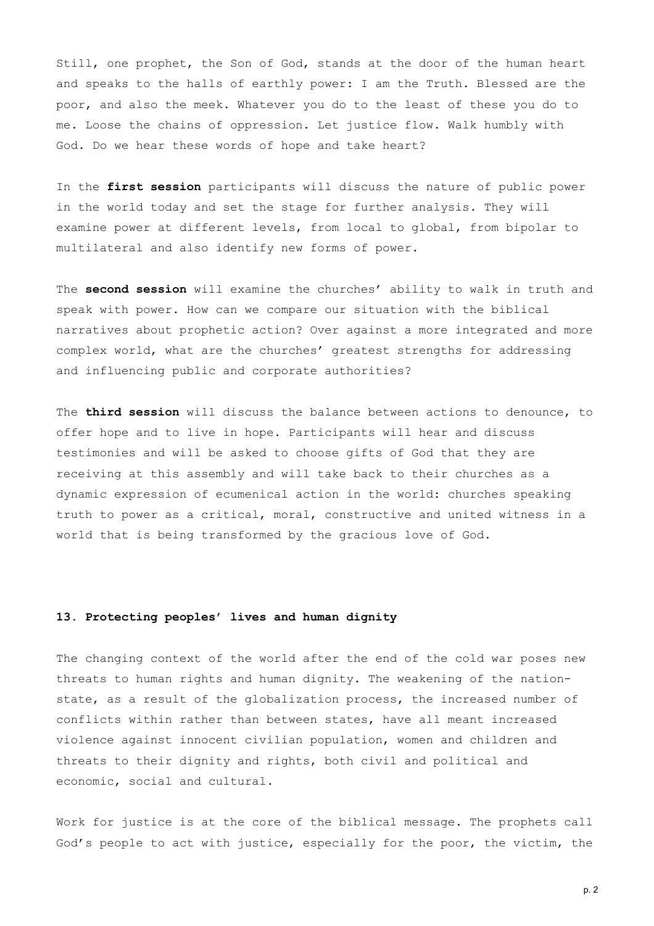Still, one prophet, the Son of God, stands at the door of the human heart and speaks to the halls of earthly power: I am the Truth. Blessed are the poor, and also the meek. Whatever you do to the least of these you do to me. Loose the chains of oppression. Let justice flow. Walk humbly with God. Do we hear these words of hope and take heart?

In the **first session** participants will discuss the nature of public power in the world today and set the stage for further analysis. They will examine power at different levels, from local to global, from bipolar to multilateral and also identify new forms of power.

The **second session** will examine the churches' ability to walk in truth and speak with power. How can we compare our situation with the biblical narratives about prophetic action? Over against a more integrated and more complex world, what are the churches' greatest strengths for addressing and influencing public and corporate authorities?

The **third session** will discuss the balance between actions to denounce, to offer hope and to live in hope. Participants will hear and discuss testimonies and will be asked to choose gifts of God that they are receiving at this assembly and will take back to their churches as a dynamic expression of ecumenical action in the world: churches speaking truth to power as a critical, moral, constructive and united witness in a world that is being transformed by the gracious love of God.

#### **13. Protecting peoples' lives and human dignity**

The changing context of the world after the end of the cold war poses new threats to human rights and human dignity. The weakening of the nationstate, as a result of the globalization process, the increased number of conflicts within rather than between states, have all meant increased violence against innocent civilian population, women and children and threats to their dignity and rights, both civil and political and economic, social and cultural.

Work for justice is at the core of the biblical message. The prophets call God's people to act with justice, especially for the poor, the victim, the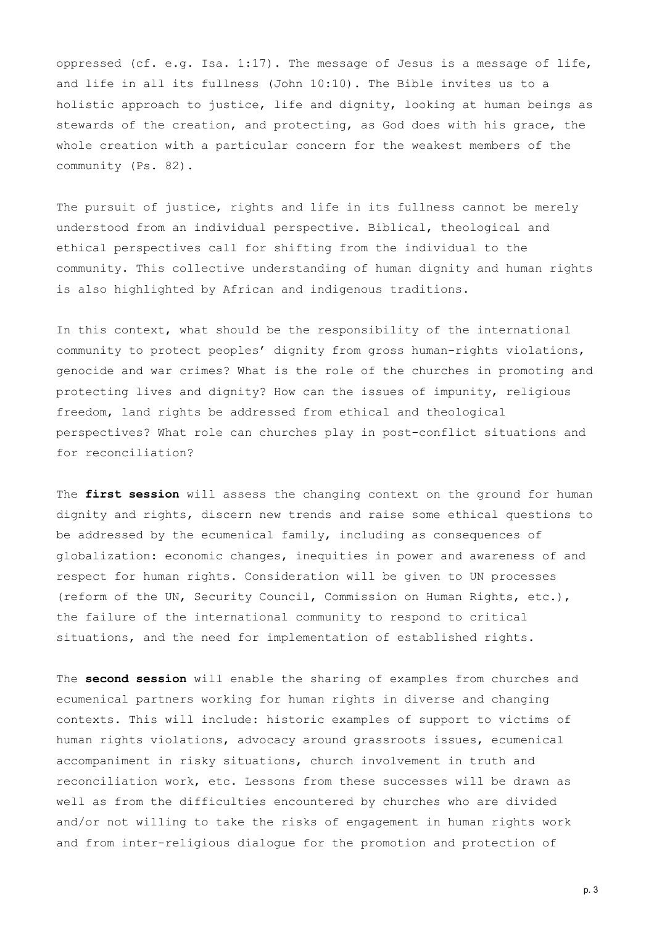oppressed (cf. e.g. Isa. 1:17). The message of Jesus is a message of life, and life in all its fullness (John 10:10). The Bible invites us to a holistic approach to justice, life and dignity, looking at human beings as stewards of the creation, and protecting, as God does with his grace, the whole creation with a particular concern for the weakest members of the community (Ps. 82).

The pursuit of justice, rights and life in its fullness cannot be merely understood from an individual perspective. Biblical, theological and ethical perspectives call for shifting from the individual to the community. This collective understanding of human dignity and human rights is also highlighted by African and indigenous traditions.

In this context, what should be the responsibility of the international community to protect peoples' dignity from gross human-rights violations, genocide and war crimes? What is the role of the churches in promoting and protecting lives and dignity? How can the issues of impunity, religious freedom, land rights be addressed from ethical and theological perspectives? What role can churches play in post-conflict situations and for reconciliation?

The **first session** will assess the changing context on the ground for human dignity and rights, discern new trends and raise some ethical questions to be addressed by the ecumenical family, including as consequences of globalization: economic changes, inequities in power and awareness of and respect for human rights. Consideration will be given to UN processes (reform of the UN, Security Council, Commission on Human Rights, etc.), the failure of the international community to respond to critical situations, and the need for implementation of established rights.

The **second session** will enable the sharing of examples from churches and ecumenical partners working for human rights in diverse and changing contexts. This will include: historic examples of support to victims of human rights violations, advocacy around grassroots issues, ecumenical accompaniment in risky situations, church involvement in truth and reconciliation work, etc. Lessons from these successes will be drawn as well as from the difficulties encountered by churches who are divided and/or not willing to take the risks of engagement in human rights work and from inter-religious dialogue for the promotion and protection of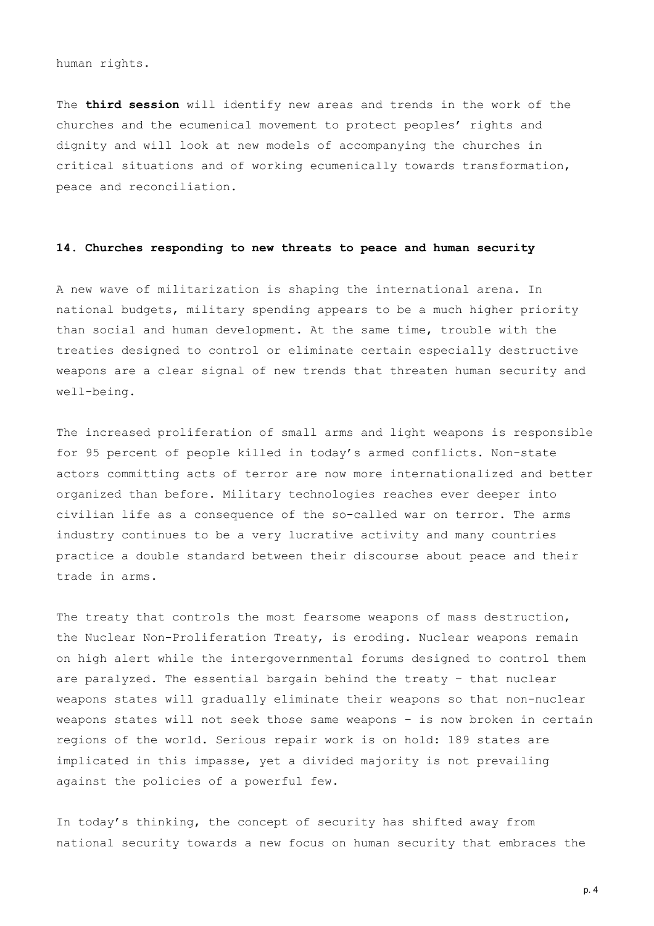human rights.

The **third session** will identify new areas and trends in the work of the churches and the ecumenical movement to protect peoples' rights and dignity and will look at new models of accompanying the churches in critical situations and of working ecumenically towards transformation, peace and reconciliation.

## **14. Churches responding to new threats to peace and human security**

A new wave of militarization is shaping the international arena. In national budgets, military spending appears to be a much higher priority than social and human development. At the same time, trouble with the treaties designed to control or eliminate certain especially destructive weapons are a clear signal of new trends that threaten human security and well-being.

The increased proliferation of small arms and light weapons is responsible for 95 percent of people killed in today's armed conflicts. Non-state actors committing acts of terror are now more internationalized and better organized than before. Military technologies reaches ever deeper into civilian life as a consequence of the so-called war on terror. The arms industry continues to be a very lucrative activity and many countries practice a double standard between their discourse about peace and their trade in arms.

The treaty that controls the most fearsome weapons of mass destruction, the Nuclear Non-Proliferation Treaty, is eroding. Nuclear weapons remain on high alert while the intergovernmental forums designed to control them are paralyzed. The essential bargain behind the treaty – that nuclear weapons states will gradually eliminate their weapons so that non-nuclear weapons states will not seek those same weapons – is now broken in certain regions of the world. Serious repair work is on hold: 189 states are implicated in this impasse, yet a divided majority is not prevailing against the policies of a powerful few.

In today's thinking, the concept of security has shifted away from national security towards a new focus on human security that embraces the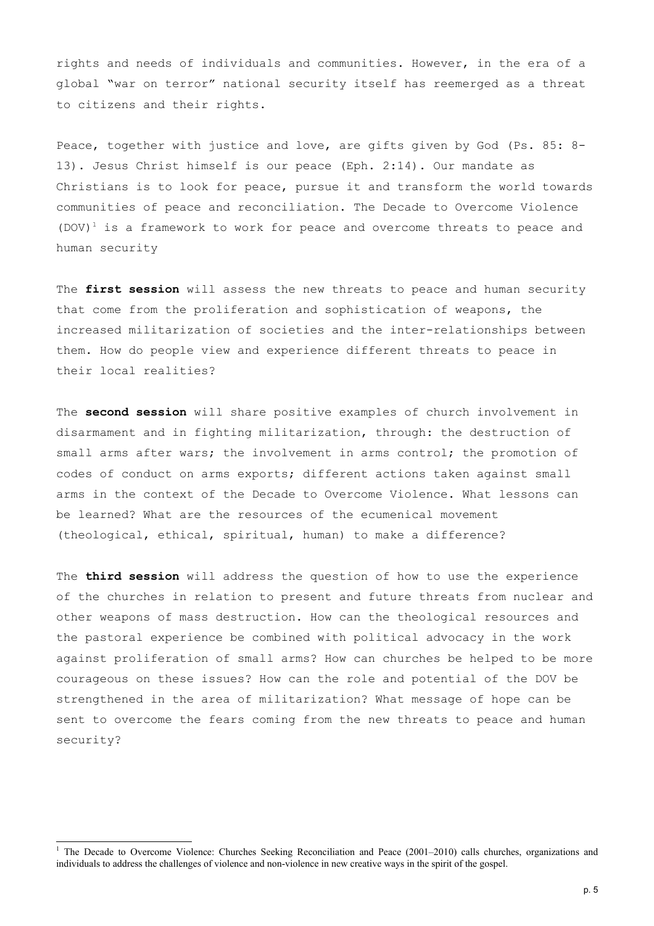rights and needs of individuals and communities. However, in the era of a global "war on terror" national security itself has reemerged as a threat to citizens and their rights.

Peace, together with justice and love, are gifts given by God (Ps. 85: 8- 13). Jesus Christ himself is our peace (Eph. 2:14). Our mandate as Christians is to look for peace, pursue it and transform the world towards communities of peace and reconciliation. The Decade to Overcome Violence  $(DOV)^1$  $(DOV)^1$  is a framework to work for peace and overcome threats to peace and human security

The **first session** will assess the new threats to peace and human security that come from the proliferation and sophistication of weapons, the increased militarization of societies and the inter-relationships between them. How do people view and experience different threats to peace in their local realities?

The **second session** will share positive examples of church involvement in disarmament and in fighting militarization, through: the destruction of small arms after wars; the involvement in arms control; the promotion of codes of conduct on arms exports; different actions taken against small arms in the context of the Decade to Overcome Violence. What lessons can be learned? What are the resources of the ecumenical movement (theological, ethical, spiritual, human) to make a difference?

The **third session** will address the question of how to use the experience of the churches in relation to present and future threats from nuclear and other weapons of mass destruction. How can the theological resources and the pastoral experience be combined with political advocacy in the work against proliferation of small arms? How can churches be helped to be more courageous on these issues? How can the role and potential of the DOV be strengthened in the area of militarization? What message of hope can be sent to overcome the fears coming from the new threats to peace and human security?

<span id="page-4-0"></span><sup>&</sup>lt;sup>1</sup> The Decade to Overcome Violence: Churches Seeking Reconciliation and Peace (2001–2010) calls churches, organizations and individuals to address the challenges of violence and non-violence in new creative ways in the spirit of the gospel.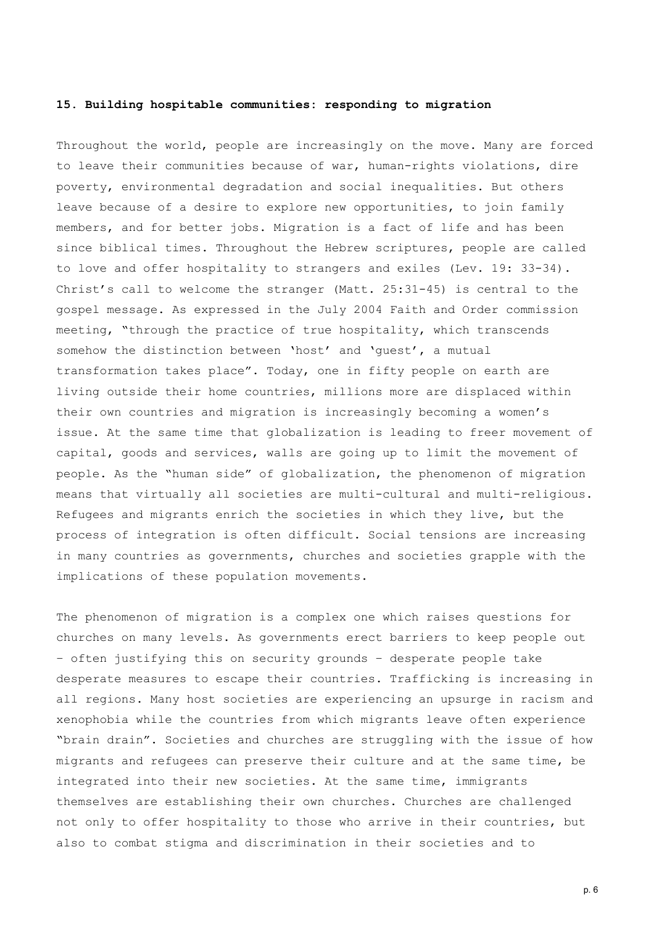# **15. Building hospitable communities: responding to migration**

Throughout the world, people are increasingly on the move. Many are forced to leave their communities because of war, human-rights violations, dire poverty, environmental degradation and social inequalities. But others leave because of a desire to explore new opportunities, to join family members, and for better jobs. Migration is a fact of life and has been since biblical times. Throughout the Hebrew scriptures, people are called to love and offer hospitality to strangers and exiles (Lev. 19: 33-34). Christ's call to welcome the stranger (Matt. 25:31-45) is central to the gospel message. As expressed in the July 2004 Faith and Order commission meeting, "through the practice of true hospitality, which transcends somehow the distinction between 'host' and 'guest', a mutual transformation takes place". Today, one in fifty people on earth are living outside their home countries, millions more are displaced within their own countries and migration is increasingly becoming a women's issue. At the same time that globalization is leading to freer movement of capital, goods and services, walls are going up to limit the movement of people. As the "human side" of globalization, the phenomenon of migration means that virtually all societies are multi-cultural and multi-religious. Refugees and migrants enrich the societies in which they live, but the process of integration is often difficult. Social tensions are increasing in many countries as governments, churches and societies grapple with the implications of these population movements.

The phenomenon of migration is a complex one which raises questions for churches on many levels. As governments erect barriers to keep people out – often justifying this on security grounds – desperate people take desperate measures to escape their countries. Trafficking is increasing in all regions. Many host societies are experiencing an upsurge in racism and xenophobia while the countries from which migrants leave often experience "brain drain". Societies and churches are struggling with the issue of how migrants and refugees can preserve their culture and at the same time, be integrated into their new societies. At the same time, immigrants themselves are establishing their own churches. Churches are challenged not only to offer hospitality to those who arrive in their countries, but also to combat stigma and discrimination in their societies and to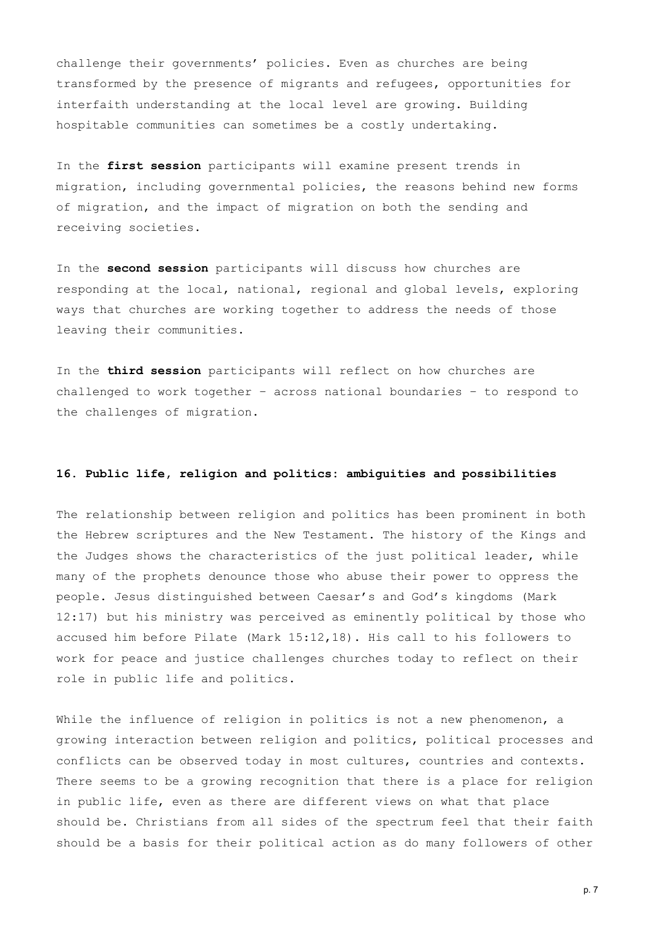challenge their governments' policies. Even as churches are being transformed by the presence of migrants and refugees, opportunities for interfaith understanding at the local level are growing. Building hospitable communities can sometimes be a costly undertaking.

In the **first session** participants will examine present trends in migration, including governmental policies, the reasons behind new forms of migration, and the impact of migration on both the sending and receiving societies.

In the **second session** participants will discuss how churches are responding at the local, national, regional and global levels, exploring ways that churches are working together to address the needs of those leaving their communities.

In the **third session** participants will reflect on how churches are challenged to work together – across national boundaries – to respond to the challenges of migration.

# **16. Public life, religion and politics: ambiguities and possibilities**

The relationship between religion and politics has been prominent in both the Hebrew scriptures and the New Testament. The history of the Kings and the Judges shows the characteristics of the just political leader, while many of the prophets denounce those who abuse their power to oppress the people. Jesus distinguished between Caesar's and God's kingdoms (Mark 12:17) but his ministry was perceived as eminently political by those who accused him before Pilate (Mark 15:12,18). His call to his followers to work for peace and justice challenges churches today to reflect on their role in public life and politics.

While the influence of religion in politics is not a new phenomenon, a growing interaction between religion and politics, political processes and conflicts can be observed today in most cultures, countries and contexts. There seems to be a growing recognition that there is a place for religion in public life, even as there are different views on what that place should be. Christians from all sides of the spectrum feel that their faith should be a basis for their political action as do many followers of other